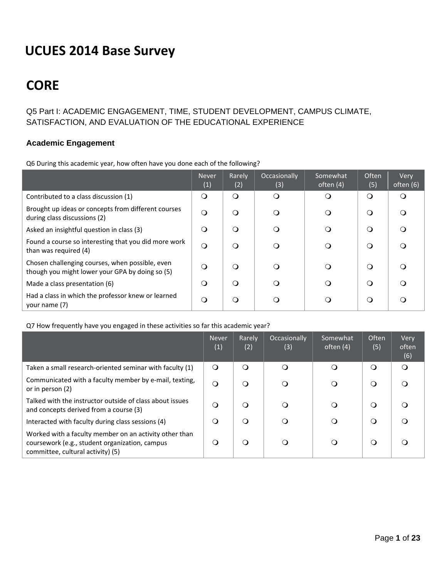# **UCUES 2014 Base Survey**

# **CORE**

# Q5 Part I: ACADEMIC ENGAGEMENT, TIME, STUDENT DEVELOPMENT, CAMPUS CLIMATE, SATISFACTION, AND EVALUATION OF THE EDUCATIONAL EXPERIENCE

## **Academic Engagement**

Q6 During this academic year, how often have you done each of the following?

|                                                                                                    | <b>Never</b><br>(1) | Rarely<br>(2) | Occasionally<br>(3) | Somewhat<br>often (4) | <b>Often</b><br>(5) | Very<br>often (6) |
|----------------------------------------------------------------------------------------------------|---------------------|---------------|---------------------|-----------------------|---------------------|-------------------|
| Contributed to a class discussion (1)                                                              | $\Omega$            | $\Omega$      | $\Omega$            | ∩                     | $\Omega$            | $\Omega$          |
| Brought up ideas or concepts from different courses<br>during class discussions (2)                | $\Omega$            | ∩             | $\Omega$            | $\circ$               | $\Omega$            | $\Omega$          |
| Asked an insightful question in class (3)                                                          | $\Omega$            | ∩             | $\Omega$            | ∩                     | $\Omega$            | $\Omega$          |
| Found a course so interesting that you did more work<br>than was required (4)                      | $\Omega$            | ∩             | $\Omega$            | $\circ$               | $\Omega$            | $\Omega$          |
| Chosen challenging courses, when possible, even<br>though you might lower your GPA by doing so (5) | $\Omega$            | ∩             | ∩                   | $\Omega$              | $\Omega$            | $\Omega$          |
| Made a class presentation (6)                                                                      | $\Omega$            | ∩             | ∩                   | ◯                     | $\Omega$            | $\Omega$          |
| Had a class in which the professor knew or learned<br>your name (7)                                | $\circ$             | ∩             |                     | ∩                     | $\Omega$            | ∩                 |

## Q7 How frequently have you engaged in these activities so far this academic year?

|                                                                                                                                               | <b>Never</b><br>(1) | Rarely<br>(2) | Occasionally<br>(3) | Somewhat<br>often $(4)$ | <b>Often</b><br>(5) | Very<br>often<br>(6) |
|-----------------------------------------------------------------------------------------------------------------------------------------------|---------------------|---------------|---------------------|-------------------------|---------------------|----------------------|
| Taken a small research-oriented seminar with faculty (1)                                                                                      | $\Omega$            | $\Omega$      | $\Omega$            | $\Omega$                | O                   | $\Omega$             |
| Communicated with a faculty member by e-mail, texting,<br>or in person (2)                                                                    | $\circ$             |               | $\circ$             | O                       | $\Omega$            |                      |
| Talked with the instructor outside of class about issues<br>and concepts derived from a course (3)                                            | $\Omega$            |               | $\circ$             | O                       | (၂                  |                      |
| Interacted with faculty during class sessions (4)                                                                                             | $\Omega$            | ∩             | $\Omega$            | O                       | O                   |                      |
| Worked with a faculty member on an activity other than<br>coursework (e.g., student organization, campus<br>committee, cultural activity) (5) | $\Omega$            | Q             | O                   | O                       | O                   |                      |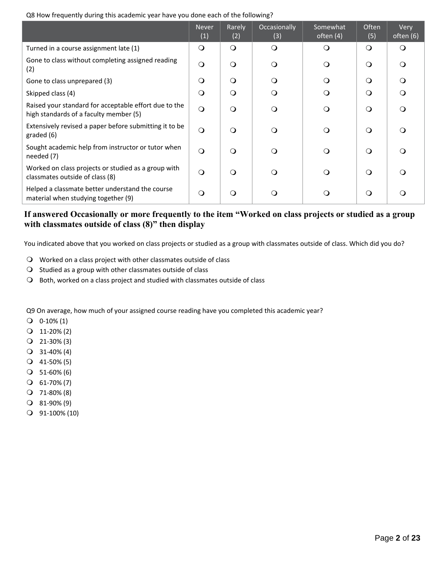Q8 How frequently during this academic year have you done each of the following?

|                                                                                                 | <b>Never</b><br>(1) | Rarely<br>(2) | Occasionally<br>(3) | Somewhat<br>often (4) | <b>Often</b><br>(5) | Very<br>often (6) |
|-------------------------------------------------------------------------------------------------|---------------------|---------------|---------------------|-----------------------|---------------------|-------------------|
| Turned in a course assignment late (1)                                                          | O                   | $\circ$       | $\Omega$            | $\Omega$              | $\circ$             | $\Omega$          |
| Gone to class without completing assigned reading<br>(2)                                        | $\bigcirc$          | $\circ$       | $\circ$             | $\circ$               | $\Omega$            | $\Omega$          |
| Gone to class unprepared (3)                                                                    | O                   | $\Omega$      | $\Omega$            | $\Omega$              | $\Omega$            | $\Omega$          |
| Skipped class (4)                                                                               | $\Omega$            | $\Omega$      | $\Omega$            | $\Omega$              | $\circ$             | $\Omega$          |
| Raised your standard for acceptable effort due to the<br>high standards of a faculty member (5) | $\circ$             | $\circ$       | $\Omega$            | $\Omega$              | $\Omega$            | $\Omega$          |
| Extensively revised a paper before submitting it to be<br>graded (6)                            | $\circ$             | $\Omega$      | $\Omega$            | $\Omega$              | $\Omega$            | $\Omega$          |
| Sought academic help from instructor or tutor when<br>needed (7)                                | $\bigcirc$          | $\Omega$      | $\Omega$            | $\Omega$              | $\Omega$            | $\Omega$          |
| Worked on class projects or studied as a group with<br>classmates outside of class (8)          | $\circ$             | $\Omega$      | $\Omega$            | $\Omega$              | $\Omega$            | $\Omega$          |
| Helped a classmate better understand the course<br>material when studying together (9)          | $\Omega$            | $\Omega$      | ∩                   |                       | $\Omega$            | ∩                 |

## **If answered Occasionally or more frequently to the item "Worked on class projects or studied as a group with classmates outside of class (8)" then display**

You indicated above that you worked on class projects or studied as a group with classmates outside of class. Which did you do?

- Worked on a class project with other classmates outside of class
- $\Omega$  Studied as a group with other classmates outside of class
- O Both, worked on a class project and studied with classmates outside of class

Q9 On average, how much of your assigned course reading have you completed this academic year?

- $Q$  0-10% (1)
- $Q$  11-20% (2)
- $Q$  21-30% (3)
- $Q$  31-40% (4)
- $Q$  41-50% (5)
- $O$  51-60% (6)
- $O$  61-70% (7)
- $Q$  71-80% (8)
- 81‐90% (9)
- 91‐100% (10)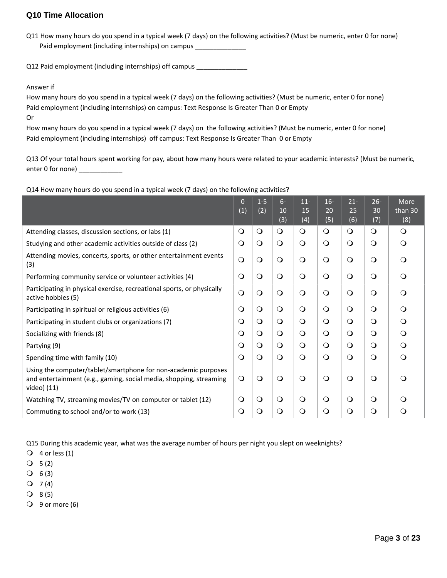## **Q10 Time Allocation**

Q11 How many hours do you spend in a typical week (7 days) on the following activities? (Must be numeric, enter 0 for none) Paid employment (including internships) on campus \_\_\_\_\_\_\_\_\_\_\_\_\_\_\_\_\_\_\_\_\_\_\_\_\_\_\_\_\_\_

Q12 Paid employment (including internships) off campus \_\_\_\_\_\_\_\_\_\_\_\_\_\_\_\_\_\_\_\_\_\_\_\_\_

#### Answer if

How many hours do you spend in a typical week (7 days) on the following activities? (Must be numeric, enter 0 for none) Paid employment (including internships) on campus: Text Response Is Greater Than 0 or Empty

Or

How many hours do you spend in a typical week (7 days) on the following activities? (Must be numeric, enter 0 for none) Paid employment (including internships) off campus: Text Response Is Greater Than 0 or Empty

Q13 Of your total hours spent working for pay, about how many hours were related to your academic interests? (Must be numeric, enter 0 for none) \_\_\_\_\_\_\_\_\_\_\_\_

Q14 How many hours do you spend in a typical week (7 days) on the following activities?

|                                                                                                                                                     | $\mathbf 0$ | $1-5$   | $6 -$     | $11-$     | $16-$      | $21 -$    | $26 -$     | More           |
|-----------------------------------------------------------------------------------------------------------------------------------------------------|-------------|---------|-----------|-----------|------------|-----------|------------|----------------|
|                                                                                                                                                     | (1)         | (2)     | 10<br>(3) | 15<br>(4) | 20<br>(5)  | 25<br>(6) | 30<br>(7)  | than 30<br>(8) |
| Attending classes, discussion sections, or labs (1)                                                                                                 | $\circ$     | $\circ$ | $\circ$   | $\circ$   | $\circ$    | $\circ$   | $\circ$    | $\circ$        |
| Studying and other academic activities outside of class (2)                                                                                         | $\circ$     | $\circ$ | $\circ$   | $\circ$   | $\circ$    | $\circ$   | $\circ$    | $\circ$        |
| Attending movies, concerts, sports, or other entertainment events<br>(3)                                                                            | $\circ$     | $\circ$ | $\Omega$  | $\circ$   | $\circ$    | $\Omega$  | $\bigcirc$ | $\Omega$       |
| Performing community service or volunteer activities (4)                                                                                            | $\circ$     | $\circ$ | $\circ$   | $\circ$   | $\bigcirc$ | $\circ$   | $\circ$    | $\circ$        |
| Participating in physical exercise, recreational sports, or physically<br>active hobbies (5)                                                        | $\circ$     | $\circ$ | $\circ$   | $\circ$   | $\circ$    | $\circ$   | $\circ$    | $\Omega$       |
| Participating in spiritual or religious activities (6)                                                                                              | $\circ$     | $\circ$ | $\circ$   | $\circ$   | $\circ$    | $\Omega$  | $\circ$    | $\Omega$       |
| Participating in student clubs or organizations (7)                                                                                                 | $\circ$     | $\circ$ | $\circ$   | $\circ$   | $\circ$    | $\Omega$  | $\bigcirc$ | $\circ$        |
| Socializing with friends (8)                                                                                                                        | $\circ$     | $\circ$ | $\circ$   | $\circ$   | $\circ$    | $\Omega$  | $\circ$    | $\circ$        |
| Partying (9)                                                                                                                                        | $\circ$     | $\circ$ | $\circ$   | $\circ$   | $\circ$    | $\circ$   | $\circ$    | $\circ$        |
| Spending time with family (10)                                                                                                                      | $\circ$     | $\circ$ | $\circ$   | $\circ$   | $\circ$    | $\Omega$  | $\circ$    | $\Omega$       |
| Using the computer/tablet/smartphone for non-academic purposes<br>and entertainment (e.g., gaming, social media, shopping, streaming<br>video) (11) | $\circ$     | $\circ$ | $\circ$   | $\circ$   | $\circ$    | $\Omega$  | $\circ$    | $\Omega$       |
| Watching TV, streaming movies/TV on computer or tablet (12)                                                                                         | $\circ$     | $\circ$ | $\circ$   | $\circ$   | $\circ$    | $\circ$   | $\circ$    | $\Omega$       |
| Commuting to school and/or to work (13)                                                                                                             | $\circ$     | $\circ$ | $\circ$   | $\circ$   | $\circ$    | $\circ$   | $\circ$    | $\circ$        |

Q15 During this academic year, what was the average number of hours per night you slept on weeknights?

- $Q$  4 or less (1)
- $Q = 5(2)$
- $O 6 (3)$
- $Q \quad 7(4)$
- $Q$  8(5)
- $\bigcirc$  9 or more (6)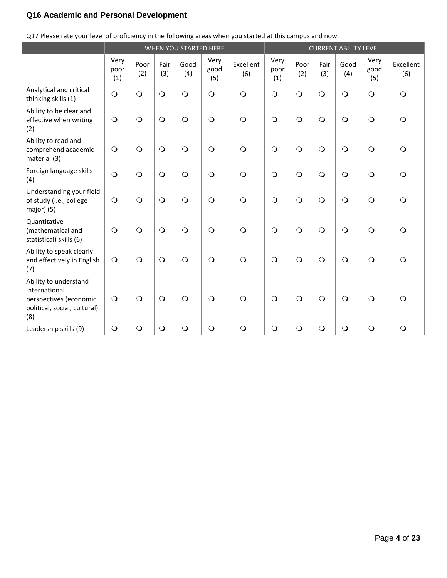# **Q16 Academic and Personal Development**

|  | Q17 Please rate your level of proficiency in the following areas when you started at this campus and now. |  |  |
|--|-----------------------------------------------------------------------------------------------------------|--|--|
|  |                                                                                                           |  |  |

|                                                                                                          |                     |             |             | WHEN YOU STARTED HERE |                     | <b>CURRENT ABILITY LEVEL</b> |                     |             |             |             |                     |                  |
|----------------------------------------------------------------------------------------------------------|---------------------|-------------|-------------|-----------------------|---------------------|------------------------------|---------------------|-------------|-------------|-------------|---------------------|------------------|
|                                                                                                          | Very<br>poor<br>(1) | Poor<br>(2) | Fair<br>(3) | Good<br>(4)           | Very<br>good<br>(5) | Excellent<br>(6)             | Very<br>poor<br>(1) | Poor<br>(2) | Fair<br>(3) | Good<br>(4) | Very<br>good<br>(5) | Excellent<br>(6) |
| Analytical and critical<br>thinking skills (1)                                                           | $\bigcirc$          | $\circ$     | $\bigcirc$  | $\overline{O}$        | $\bigcirc$          | $\bigcirc$                   | $\bigcirc$          | $\bigcirc$  | $\bigcirc$  | $\bigcirc$  | $\circ$             | $\Omega$         |
| Ability to be clear and<br>effective when writing<br>(2)                                                 | $\bigcirc$          | $\bigcirc$  | $\circ$     | $\bigcirc$            | $\bigcirc$          | $\bigcirc$                   | $\circ$             | $\bigcirc$  | $\bigcirc$  | $\bigcirc$  | $\circ$             | $\Omega$         |
| Ability to read and<br>comprehend academic<br>material (3)                                               | $\bigcirc$          | $\bigcirc$  | $\bigcirc$  | $\bigcirc$            | $\circ$             | $\bigcirc$                   | $\bigcirc$          | $\bigcirc$  | $\bigcirc$  | $\bigcirc$  | $\circ$             | $\Omega$         |
| Foreign language skills<br>(4)                                                                           | $\bigcirc$          | $\circ$     | $\bigcirc$  | $\bigcirc$            | $\bigcirc$          | $\bigcirc$                   | $\bigcirc$          | $\bigcirc$  | $\bigcirc$  | $\bigcirc$  | $\circ$             | $\Omega$         |
| Understanding your field<br>of study (i.e., college<br>major) (5)                                        | $\bigcirc$          | $\circ$     | $\circ$     | $\circ$               | $\bigcirc$          | $\bigcirc$                   | $\circ$             | $\bigcirc$  | $\bigcirc$  | $\bigcirc$  | $\circ$             | $\Omega$         |
| Quantitative<br>(mathematical and<br>statistical) skills (6)                                             | $\bigcirc$          | $\bigcirc$  | $\bigcirc$  | $\bigcirc$            | $\bigcirc$          | $\bigcirc$                   | $\bigcirc$          | $\bigcirc$  | $\bigcirc$  | $\bigcirc$  | $\bigcirc$          | $\Omega$         |
| Ability to speak clearly<br>and effectively in English<br>(7)                                            | $\bigcirc$          | $\bigcirc$  | $\bigcirc$  | $\bigcirc$            | $\bigcirc$          | $\bigcirc$                   | $\bigcirc$          | $\bigcirc$  | $\bigcirc$  | $\bigcirc$  | $\circ$             | $\Omega$         |
| Ability to understand<br>international<br>perspectives (economic,<br>political, social, cultural)<br>(8) | $\circ$             | $\bigcirc$  | $\bigcirc$  | $\bigcirc$            | $\bigcirc$          | $\Omega$                     | $\circ$             | $\bigcirc$  | $\bigcirc$  | $\bigcirc$  | $\circ$             | ∩                |
| Leadership skills (9)                                                                                    | $\bigcirc$          | $\bigcirc$  | $\bigcirc$  | $\bigcirc$            | $\bigcirc$          | $\bigcirc$                   | $\bigcirc$          | $\bigcirc$  | $\bigcirc$  | $\bigcirc$  | $\bigcirc$          | $\bigcirc$       |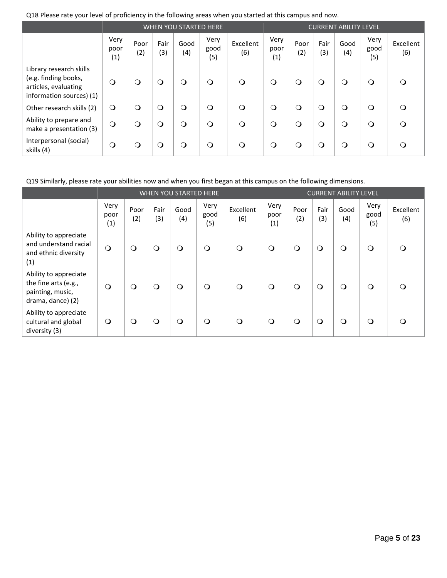|  |  |  |  | Q18 Please rate your level of proficiency in the following areas when you started at this campus and now. |  |
|--|--|--|--|-----------------------------------------------------------------------------------------------------------|--|
|--|--|--|--|-----------------------------------------------------------------------------------------------------------|--|

|                                                                                                     |                     |             |             | <b>WHEN YOU STARTED HERE</b> |                     | <b>CURRENT ABILITY LEVEL</b> |                     |             |             |             |                     |                  |
|-----------------------------------------------------------------------------------------------------|---------------------|-------------|-------------|------------------------------|---------------------|------------------------------|---------------------|-------------|-------------|-------------|---------------------|------------------|
|                                                                                                     | Very<br>poor<br>(1) | Poor<br>(2) | Fair<br>(3) | Good<br>(4)                  | Very<br>good<br>(5) | Excellent<br>(6)             | Very<br>poor<br>(1) | Poor<br>(2) | Fair<br>(3) | Good<br>(4) | Very<br>good<br>(5) | Excellent<br>(6) |
| Library research skills<br>(e.g. finding books,<br>articles, evaluating<br>information sources) (1) | $\circ$             | $\circ$     | $\circ$     | $\circ$                      | $\circ$             | $\circ$                      | $\circ$             | $\circ$     | $\circ$     | $\circ$     | $\circ$             | $\Omega$         |
| Other research skills (2)                                                                           | $\circ$             | $\circ$     | $\circ$     | $\circ$                      | $\circ$             | $\circ$                      | $\circ$             | $\circ$     | $\circ$     | $\circ$     | $\circ$             | $\Omega$         |
| Ability to prepare and<br>make a presentation (3)                                                   | $\circ$             | $\circ$     | $\circ$     | $\circ$                      | $\circ$             | $\Omega$                     | $\circ$             | $\circ$     | $\circ$     | $\circ$     | $\Omega$            | $\bigcap$        |
| Interpersonal (social)<br>skills (4)                                                                | $\circ$             | $\circ$     | $\circ$     | $\circ$                      | $\circ$             | $\circ$                      | $\circ$             | $\circ$     | $\circ$     | $\circ$     | $\circ$             | $\Omega$         |

Q19 Similarly, please rate your abilities now and when you first began at this campus on the following dimensions.

|                                                                                        | WHEN YOU STARTED HERE |             |             |             |                     |                  |                     | <b>CURRENT ABILITY LEVEL</b> |             |             |                     |                  |
|----------------------------------------------------------------------------------------|-----------------------|-------------|-------------|-------------|---------------------|------------------|---------------------|------------------------------|-------------|-------------|---------------------|------------------|
|                                                                                        | Very<br>poor<br>(1)   | Poor<br>(2) | Fair<br>(3) | Good<br>(4) | Very<br>good<br>(5) | Excellent<br>(6) | Very<br>poor<br>(1) | Poor<br>(2)                  | Fair<br>(3) | Good<br>(4) | Very<br>good<br>(5) | Excellent<br>(6) |
| Ability to appreciate<br>and understand racial<br>and ethnic diversity<br>(1)          | $\circ$               | $\circ$     | $\circ$     | $\Omega$    | $\circ$             | $\circ$          | $\circ$             | $\circ$                      | $\circ$     | $\circ$     | $\circ$             | ∩                |
| Ability to appreciate<br>the fine arts (e.g.,<br>painting, music,<br>drama, dance) (2) | $\circ$               | $\circ$     | $\circ$     | $\Omega$    | $\bigcirc$          | $\circ$          | $\circ$             | $\Omega$                     | $\circ$     | $\circ$     | $\Omega$            |                  |
| Ability to appreciate<br>cultural and global<br>diversity (3)                          | $\circ$               | $\circ$     | $\circ$     | $\Omega$    | $\circ$             | $\Omega$         | $\circ$             | $\Omega$                     | $\circ$     | $\circ$     | $\Omega$            |                  |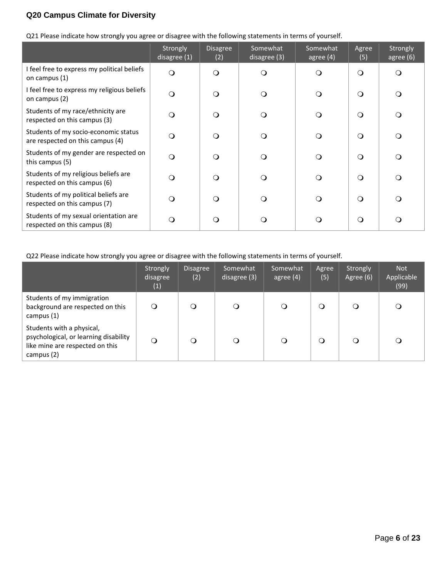# **Q20 Campus Climate for Diversity**

Q21 Please indicate how strongly you agree or disagree with the following statements in terms of yourself.

|                                                                          | Strongly<br>disagree $(1)$ | <b>Disagree</b><br>(2) | Somewhat<br>disagree (3) | Somewhat<br>agree $(4)$ | Agree<br>(5) | Strongly<br>agree $(6)$ |
|--------------------------------------------------------------------------|----------------------------|------------------------|--------------------------|-------------------------|--------------|-------------------------|
| I feel free to express my political beliefs<br>on campus (1)             | $\Omega$                   | $\Omega$               | $\Omega$                 | $\Omega$                | $\Omega$     | $\Omega$                |
| I feel free to express my religious beliefs<br>on campus (2)             | $\Omega$                   |                        | $\Omega$                 | $\Omega$                | $\Omega$     | $\Omega$                |
| Students of my race/ethnicity are<br>respected on this campus (3)        | $\Omega$                   |                        | $\circ$                  | $\Omega$                | $\Omega$     | $\Omega$                |
| Students of my socio-economic status<br>are respected on this campus (4) | $\Omega$                   | ∩                      | $\circ$                  | $\Omega$                | $\circ$      | $\Omega$                |
| Students of my gender are respected on<br>this campus (5)                | $\Omega$                   | ∩                      | $\Omega$                 | $\Omega$                | $\Omega$     | $\Omega$                |
| Students of my religious beliefs are<br>respected on this campus (6)     | $\Omega$                   |                        | $\Omega$                 | $\Omega$                | $\Omega$     | $\Omega$                |
| Students of my political beliefs are<br>respected on this campus (7)     | $\Omega$                   |                        | $\Omega$                 | $\Omega$                | $\circ$      | $\Omega$                |
| Students of my sexual orientation are<br>respected on this campus (8)    | Q                          | ∩                      | $\Omega$                 | ∩                       | $\circ$      | $\Omega$                |

Q22 Please indicate how strongly you agree or disagree with the following statements in terms of yourself.

|                                                                                                                     | Strongly<br>disagree<br>(1) | <b>Disagree</b><br>(2) | Somewhat<br>disagree (3) | Somewhat<br>$ $ agree $(4)$ | Agree<br>(5) | Strongly<br>Agree (6) | <b>Not</b><br>Applicable<br>(99) |
|---------------------------------------------------------------------------------------------------------------------|-----------------------------|------------------------|--------------------------|-----------------------------|--------------|-----------------------|----------------------------------|
| Students of my immigration<br>background are respected on this<br>campus $(1)$                                      |                             |                        |                          | $\circ$                     | $\Omega$     |                       | $\mathsf{O}$                     |
| Students with a physical,<br>psychological, or learning disability<br>like mine are respected on this<br>campus (2) | $\circ$                     |                        |                          | $\circ$                     | $\Omega$     |                       | Q                                |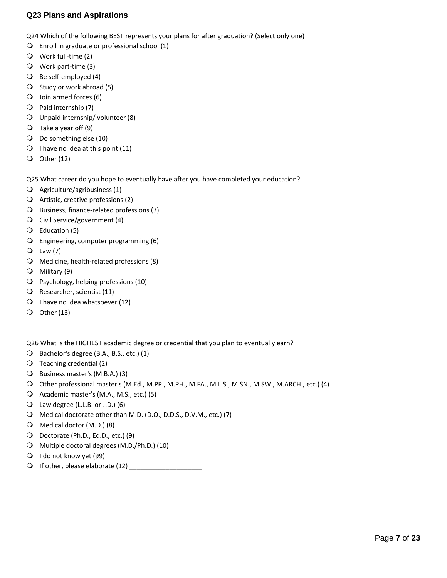## **Q23 Plans and Aspirations**

Q24 Which of the following BEST represents your plans for after graduation? (Select only one)

- $\bigcirc$  Enroll in graduate or professional school (1)
- Work full‐time (2)
- Work part‐time (3)
- Be self‐employed (4)
- $\bigcirc$  Study or work abroad (5)
- $\bigcirc$  Join armed forces (6)
- $\bigcirc$  Paid internship (7)
- Unpaid internship/ volunteer (8)
- $\bigcirc$  Take a year off (9)
- Do something else (10)
- $\bigcirc$  I have no idea at this point (11)
- $\bigcirc$  Other (12)

Q25 What career do you hope to eventually have after you have completed your education?

- Agriculture/agribusiness (1)
- $\bigcirc$  Artistic, creative professions (2)
- Business, finance-related professions (3)
- Civil Service/government (4)
- Education (5)
- Engineering, computer programming (6)
- $Q$  Law (7)
- O Medicine, health-related professions (8)
- Military (9)
- Psychology, helping professions (10)
- Q Researcher, scientist (11)
- $\bigcirc$  I have no idea whatsoever (12)
- $\overline{O}$  Other (13)

Q26 What is the HIGHEST academic degree or credential that you plan to eventually earn?

- Bachelor's degree (B.A., B.S., etc.) (1)
- $\bigcirc$  Teaching credential (2)
- Business master's (M.B.A.) (3)
- Other professional master's (M.Ed., M.PP., M.PH., M.FA., M.LIS., M.SN., M.SW., M.ARCH., etc.) (4)
- Academic master's (M.A., M.S., etc.) (5)
- Law degree (L.L.B. or J.D.) (6)
- Medical doctorate other than M.D. (D.O., D.D.S., D.V.M., etc.) (7)
- Medical doctor (M.D.) (8)
- Doctorate (Ph.D., Ed.D., etc.) (9)
- O Multiple doctoral degrees (M.D./Ph.D.) (10)
- $\bigcirc$  I do not know yet (99)
- If other, please elaborate (12) \_\_\_\_\_\_\_\_\_\_\_\_\_\_\_\_\_\_\_\_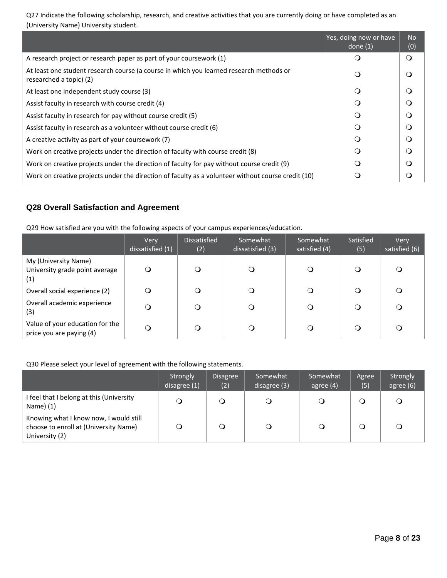Q27 Indicate the following scholarship, research, and creative activities that you are currently doing or have completed as an (University Name) University student.

|                                                                                                                    | Yes, doing now or have<br>done $(1)$ | <b>No</b><br>(0) |
|--------------------------------------------------------------------------------------------------------------------|--------------------------------------|------------------|
| A research project or research paper as part of your coursework (1)                                                | ∩                                    | $\circ$          |
| At least one student research course (a course in which you learned research methods or<br>researched a topic) (2) | ∩                                    | O                |
| At least one independent study course (3)                                                                          | $\Omega$                             | O                |
| Assist faculty in research with course credit (4)                                                                  | ∩                                    | $\Omega$         |
| Assist faculty in research for pay without course credit (5)                                                       | ∩                                    | $\Omega$         |
| Assist faculty in research as a volunteer without course credit (6)                                                | $\Omega$                             | $\Omega$         |
| A creative activity as part of your coursework (7)                                                                 | ∩                                    | $\Omega$         |
| Work on creative projects under the direction of faculty with course credit (8)                                    | $\Omega$                             | $\Omega$         |
| Work on creative projects under the direction of faculty for pay without course credit (9)                         | ∩                                    | $\Omega$         |
| Work on creative projects under the direction of faculty as a volunteer without course credit (10)                 |                                      | 0                |

# **Q28 Overall Satisfaction and Agreement**

Q29 How satisfied are you with the following aspects of your campus experiences/education.

|                                                               | Very<br>dissatisfied (1) | <b>Dissatisfied</b><br>(2) | Somewhat<br>dissatisfied (3) | Somewhat<br>satisfied (4) | Satisfied<br>(5) | Very<br>satisfied $(6)$ |
|---------------------------------------------------------------|--------------------------|----------------------------|------------------------------|---------------------------|------------------|-------------------------|
| My (University Name)<br>University grade point average<br>(1) | Q                        | $\circ$                    | $\circ$                      |                           | O                | O                       |
| Overall social experience (2)                                 | Ω                        | Q                          | Q                            |                           |                  | Q                       |
| Overall academic experience<br>(3)                            |                          | $\Omega$                   | O                            |                           |                  | Q                       |
| Value of your education for the<br>price you are paying (4)   | Ω                        | O                          | O                            |                           |                  | Q                       |

## Q30 Please select your level of agreement with the following statements.

|                                                                                                   | Strongly<br>disagree $(1)$ | <b>Disagree</b><br>(2) | Somewhat<br>disagree (3)' | Somewhat<br>agree $(4)$ | Agree<br>(5) | Strongly<br>agree (6) |
|---------------------------------------------------------------------------------------------------|----------------------------|------------------------|---------------------------|-------------------------|--------------|-----------------------|
| I feel that I belong at this (University<br>Name) (1)                                             |                            |                        |                           |                         |              | $\circ$               |
| Knowing what I know now, I would still<br>choose to enroll at (University Name)<br>University (2) |                            |                        |                           |                         |              | O                     |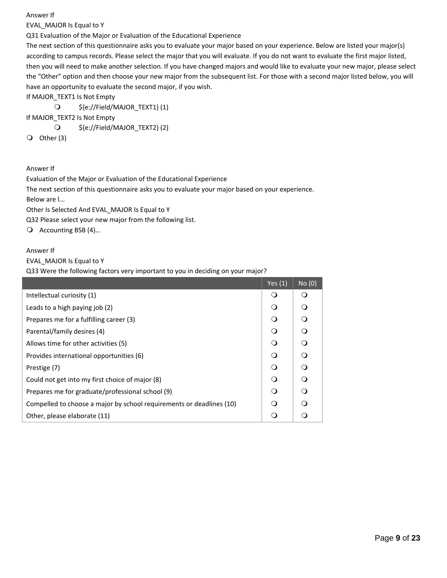EVAL\_MAJOR Is Equal to Y

Q31 Evaluation of the Major or Evaluation of the Educational Experience

The next section of this questionnaire asks you to evaluate your major based on your experience. Below are listed your major(s) according to campus records. Please select the major that you will evaluate. If you do not want to evaluate the first major listed, then you will need to make another selection. If you have changed majors and would like to evaluate your new major, please select the "Other" option and then choose your new major from the subsequent list. For those with a second major listed below, you will have an opportunity to evaluate the second major, if you wish.

If MAJOR TEXT1 Is Not Empty

\${e://Field/MAJOR\_TEXT1} (1)

If MAJOR\_TEXT2 Is Not Empty

\${e://Field/MAJOR\_TEXT2} (2)

 $\overline{O}$  Other (3)

Answer If

Evaluation of the Major or Evaluation of the Educational Experience The next section of this questionnaire asks you to evaluate your major based on your experience. Below are l... Other Is Selected And EVAL\_MAJOR Is Equal to Y

Q32 Please select your new major from the following list.

Q Accounting BSB (4)...

Answer If

EVAL\_MAJOR Is Equal to Y

Q33 Were the following factors very important to you in deciding on your major?

|                                                                      | Yes $(1)$ | No(0)    |
|----------------------------------------------------------------------|-----------|----------|
| Intellectual curiosity (1)                                           | $\bigcap$ | ∩        |
| Leads to a high paying job (2)                                       | ∩         | ∩        |
| Prepares me for a fulfilling career (3)                              | ∩         | $\Omega$ |
| Parental/family desires (4)                                          | ∩         | $\Omega$ |
| Allows time for other activities (5)                                 |           | ∩        |
| Provides international opportunities (6)                             |           | $\Omega$ |
| Prestige (7)                                                         |           | $\Omega$ |
| Could not get into my first choice of major (8)                      | ∩         | $\Omega$ |
| Prepares me for graduate/professional school (9)                     | ∩         | $\Omega$ |
| Compelled to choose a major by school requirements or deadlines (10) |           | ∩        |
| Other, please elaborate (11)                                         |           |          |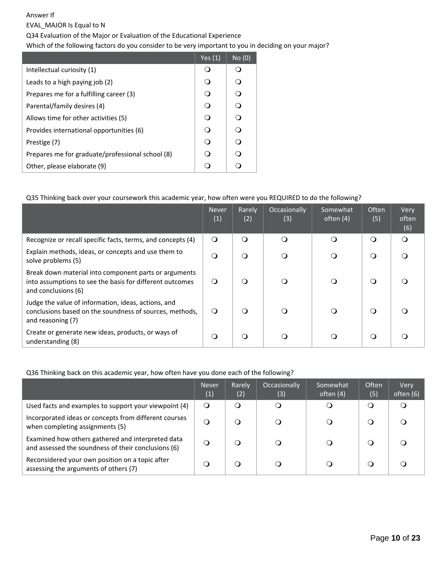EVAL\_MAJOR Is Equal to N

Q34 Evaluation of the Major or Evaluation of the Educational Experience

Which of the following factors do you consider to be very important to you in deciding on your major?

|                                                  | Yes $(1)$ | No(0)    |
|--------------------------------------------------|-----------|----------|
| Intellectual curiosity (1)                       |           |          |
| Leads to a high paying job (2)                   | ∩         | $\Omega$ |
| Prepares me for a fulfilling career (3)          | ∩         | ∩        |
| Parental/family desires (4)                      | ∩         | $\Omega$ |
| Allows time for other activities (5)             | ∩         | $\Omega$ |
| Provides international opportunities (6)         | ∩         | $\Omega$ |
| Prestige (7)                                     | ∩         | ∩        |
| Prepares me for graduate/professional school (8) | ∩         | ∩        |
| Other, please elaborate (9)                      |           | ∩        |

## Q35 Thinking back over your coursework this academic year, how often were you REQUIRED to do the following?

|                                                                                                                                          | Never<br>(1) | Rarely<br>(2) | <b>Occasionally</b><br>(3) | Somewhat<br>often $(4)$ | <b>Often</b><br>(5) | Very<br>often<br>(6) |
|------------------------------------------------------------------------------------------------------------------------------------------|--------------|---------------|----------------------------|-------------------------|---------------------|----------------------|
| Recognize or recall specific facts, terms, and concepts (4)                                                                              | $\Omega$     | $\Omega$      | $\Omega$                   | ∩                       | $\Omega$            | $\Omega$             |
| Explain methods, ideas, or concepts and use them to<br>solve problems (5)                                                                | $\Omega$     | $\Omega$      | $\Omega$                   | ∩                       | $\Omega$            | $\Omega$             |
| Break down material into component parts or arguments<br>into assumptions to see the basis for different outcomes<br>and conclusions (6) | ∩            | $\Omega$      | ∩                          | $\Omega$                | $\Omega$            | $\Omega$             |
| Judge the value of information, ideas, actions, and<br>conclusions based on the soundness of sources, methods,<br>and reasoning (7)      | ∩            | $\Omega$      | $\Omega$                   | $\Omega$                | ∩                   |                      |
| Create or generate new ideas, products, or ways of<br>understanding (8)                                                                  | $\Omega$     | ∩             | ∩                          | ◯                       | ∩                   |                      |

## Q36 Thinking back on this academic year, how often have you done each of the following?

|                                                                                                          | <b>Never</b><br>(1) | Rarely<br>(2) | <b>Occasionally</b><br>(3) | 'Somewhat<br>often (4) | <b>Often</b><br>(5) | Very<br>often (6) |
|----------------------------------------------------------------------------------------------------------|---------------------|---------------|----------------------------|------------------------|---------------------|-------------------|
| Used facts and examples to support your viewpoint (4)                                                    | $\circ$             | $\Omega$      |                            | a                      | Q                   | Q                 |
| Incorporated ideas or concepts from different courses<br>when completing assignments (5)                 | $\Omega$            |               |                            |                        | O                   | a                 |
| Examined how others gathered and interpreted data<br>and assessed the soundness of their conclusions (6) | $\Omega$            |               |                            |                        | Q                   |                   |
| Reconsidered your own position on a topic after<br>assessing the arguments of others (7)                 | O                   |               |                            |                        | O                   |                   |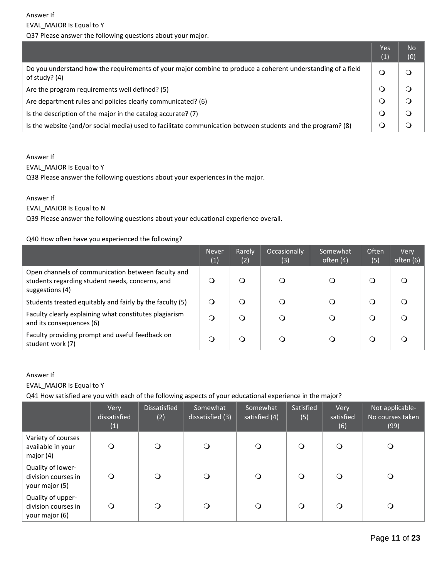|                                                                                                                                | Yes<br>(1) | <b>No</b><br>(0) |
|--------------------------------------------------------------------------------------------------------------------------------|------------|------------------|
| Do you understand how the requirements of your major combine to produce a coherent understanding of a field<br>of study? $(4)$ |            |                  |
| Are the program requirements well defined? (5)                                                                                 |            |                  |
| Are department rules and policies clearly communicated? (6)                                                                    |            |                  |
| Is the description of the major in the catalog accurate? (7)                                                                   |            |                  |
| Is the website (and/or social media) used to facilitate communication between students and the program? (8)                    |            |                  |

EVAL\_MAJOR Is Equal to Y

Q38 Please answer the following questions about your experiences in the major.

## Answer If

## EVAL\_MAJOR Is Equal to N

Q39 Please answer the following questions about your educational experience overall.

## Q40 How often have you experienced the following?

|                                                                                                                          | <b>Never</b><br>(1) | Rarely<br>(2) | Occasionally<br>(3) | Somewhat<br>often (4) | <b>Often</b><br>(5) | Very<br>often (6) |
|--------------------------------------------------------------------------------------------------------------------------|---------------------|---------------|---------------------|-----------------------|---------------------|-------------------|
| Open channels of communication between faculty and<br>students regarding student needs, concerns, and<br>suggestions (4) | ∩                   | Q             |                     |                       | ∩                   |                   |
| Students treated equitably and fairly by the faculty (5)                                                                 | $\circ$             | Q             | O                   |                       | Ő                   |                   |
| Faculty clearly explaining what constitutes plagiarism<br>and its consequences (6)                                       | $\Omega$            | Q             | O                   |                       | $\cup$              |                   |
| Faculty providing prompt and useful feedback on<br>student work (7)                                                      | O                   | Q             |                     |                       | O                   |                   |

## Answer If

EVAL\_MAJOR Is Equal to Y

Q41 How satisfied are you with each of the following aspects of your educational experience in the major?

|                                                            | Very<br>dissatisfied<br>(1) | <b>Dissatisfied</b><br>(2) | Somewhat<br>dissatisfied (3) | Somewhat<br>satisfied (4) | Satisfied<br>(5) | Very<br>satisfied<br>(6) | Not applicable-<br>No courses taken<br>(99) |
|------------------------------------------------------------|-----------------------------|----------------------------|------------------------------|---------------------------|------------------|--------------------------|---------------------------------------------|
| Variety of courses<br>available in your<br>major $(4)$     | $\Omega$                    | $\Omega$                   | O                            | $\circ$                   | $\Omega$         | $\Omega$                 | Q                                           |
| Quality of lower-<br>division courses in<br>your major (5) | $\circ$                     | $\Omega$                   | O                            | $\circ$                   | $\Omega$         | $\Omega$                 | O                                           |
| Quality of upper-<br>division courses in<br>your major (6) | $\mathsf{O}$                | Ω                          | O                            | $\circ$                   | $\circ$          | $\Omega$                 | O                                           |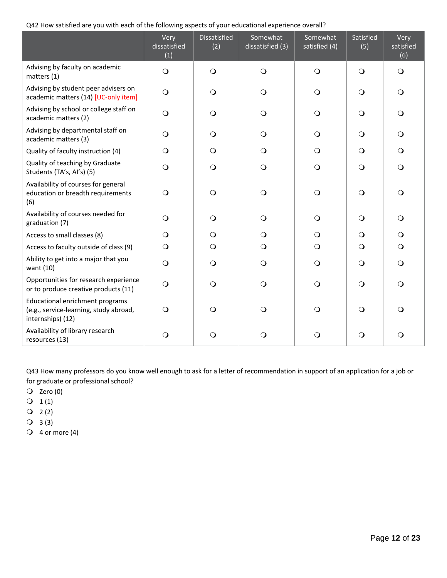Q42 How satisfied are you with each of the following aspects of your educational experience overall?

|                                                                                                       | Very<br>dissatisfied<br>(1) | Dissatisfied<br>(2) | Somewhat<br>dissatisfied (3) | Somewhat<br>satisfied (4) | Satisfied<br>(5) | Very<br>satisfied<br>(6) |
|-------------------------------------------------------------------------------------------------------|-----------------------------|---------------------|------------------------------|---------------------------|------------------|--------------------------|
| Advising by faculty on academic<br>matters (1)                                                        | $\bigcirc$                  | $\circ$             | $\bigcirc$                   | $\bigcirc$                | $\bigcirc$       | $\bigcirc$               |
| Advising by student peer advisers on<br>academic matters (14) [UC-only item]                          | $\bigcirc$                  | $\circ$             | $\circ$                      | $\bigcirc$                | $\bigcirc$       | $\circ$                  |
| Advising by school or college staff on<br>academic matters (2)                                        | $\bigcirc$                  | $\circ$             | $\bigcirc$                   | $\bigcirc$                | $\bigcirc$       | $\circ$                  |
| Advising by departmental staff on<br>academic matters (3)                                             | $\bigcirc$                  | $\bigcirc$          | $\bigcirc$                   | $\bigcirc$                | $\bigcirc$       | $\circ$                  |
| Quality of faculty instruction (4)                                                                    | $\bigcirc$                  | $\circ$             | $\circ$                      | $\bigcirc$                | $\circ$          | $\circ$                  |
| Quality of teaching by Graduate<br>Students (TA's, AI's) (5)                                          | $\bigcirc$                  | $\circ$             | $\circ$                      | $\bigcirc$                | $\bigcirc$       | $\circ$                  |
| Availability of courses for general<br>education or breadth requirements<br>(6)                       | $\bigcirc$                  | $\circ$             | $\bigcirc$                   | $\bigcirc$                | $\circ$          | $\circ$                  |
| Availability of courses needed for<br>graduation (7)                                                  | $\bigcirc$                  | $\bigcirc$          | $\bigcirc$                   | $\bigcirc$                | $\circ$          | $\circ$                  |
| Access to small classes (8)                                                                           | $\bigcirc$                  | $\bigcirc$          | $\bigcirc$                   | $\bigcirc$                | $\bigcirc$       | $\circ$                  |
| Access to faculty outside of class (9)                                                                | $\bigcirc$                  | $\circ$             | $\circ$                      | $\circ$                   | $\circ$          | $\circ$                  |
| Ability to get into a major that you<br>want (10)                                                     | $\bigcirc$                  | $\circ$             | $\circ$                      | $\bigcirc$                | $\Omega$         | $\circ$                  |
| Opportunities for research experience<br>or to produce creative products (11)                         | $\bigcirc$                  | $\circ$             | $\bigcirc$                   | $\bigcirc$                | $\Omega$         | $\circ$                  |
| <b>Educational enrichment programs</b><br>(e.g., service-learning, study abroad,<br>internships) (12) | $\circ$                     | $\Omega$            | $\bigcirc$                   | $\bigcirc$                | $\Omega$         | $\Omega$                 |
| Availability of library research<br>resources (13)                                                    | $\bigcirc$                  | $\circ$             | $\circ$                      | $\circ$                   | $\circ$          | O                        |

Q43 How many professors do you know well enough to ask for a letter of recommendation in support of an application for a job or for graduate or professional school?

 $Q$  Zero (0)

 $Q_1 (1)$ 

 $Q_2(2)$ 

 $Q$  3(3)

 $Q$  4 or more (4)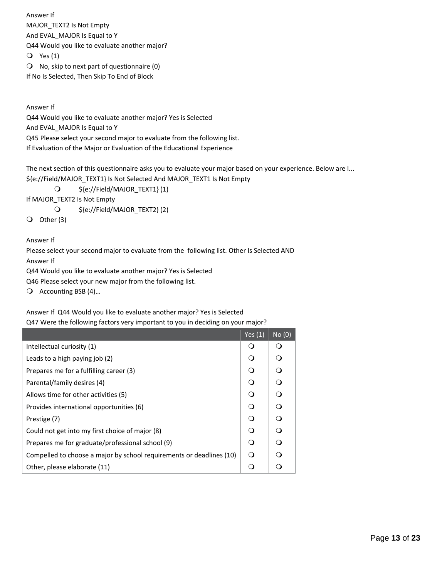Answer If MAJOR\_TEXT2 Is Not Empty And EVAL\_MAJOR Is Equal to Y Q44 Would you like to evaluate another major? Yes (1)  $\bigcirc$  No, skip to next part of questionnaire (0) If No Is Selected, Then Skip To End of Block

Answer If

Q44 Would you like to evaluate another major? Yes is Selected And EVAL\_MAJOR Is Equal to Y Q45 Please select your second major to evaluate from the following list. If Evaluation of the Major or Evaluation of the Educational Experience

The next section of this questionnaire asks you to evaluate your major based on your experience. Below are l... \${e://Field/MAJOR\_TEXT1} Is Not Selected And MAJOR\_TEXT1 Is Not Empty

\${e://Field/MAJOR\_TEXT1} (1)

If MAJOR\_TEXT2 Is Not Empty

\${e://Field/MAJOR\_TEXT2} (2)

 $\bigcirc$  Other (3)

Answer If

Please select your second major to evaluate from the following list. Other Is Selected AND Answer If Q44 Would you like to evaluate another major? Yes is Selected

Q46 Please select your new major from the following list.

Q Accounting BSB (4)...

Answer If Q44 Would you like to evaluate another major? Yes is Selected

Q47 Were the following factors very important to you in deciding on your major?

|                                                                      | Yes $(1)$ | No(0)    |
|----------------------------------------------------------------------|-----------|----------|
| Intellectual curiosity (1)                                           | Ω         | Ω        |
| Leads to a high paying job (2)                                       | $\Omega$  | O        |
| Prepares me for a fulfilling career (3)                              | $\Omega$  | O        |
| Parental/family desires (4)                                          | $\Omega$  | $\Omega$ |
| Allows time for other activities (5)                                 | ∩         | O        |
| Provides international opportunities (6)                             | $\Omega$  | O        |
| Prestige (7)                                                         | $\Omega$  | $\Omega$ |
| Could not get into my first choice of major (8)                      | $\Omega$  | $\Omega$ |
| Prepares me for graduate/professional school (9)                     | $\Omega$  | ∩        |
| Compelled to choose a major by school requirements or deadlines (10) | ∩         | ∩        |
| Other, please elaborate (11)                                         | ∩         | ∩        |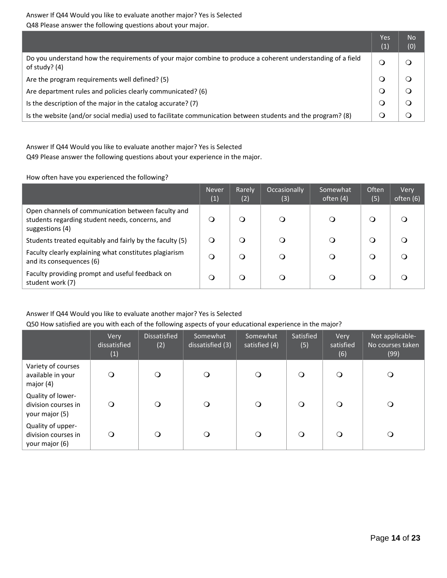Answer If Q44 Would you like to evaluate another major? Yes is Selected Q48 Please answer the following questions about your major.

|                                                                                                                                | Yes<br>(1) | <b>No</b><br>(0) |
|--------------------------------------------------------------------------------------------------------------------------------|------------|------------------|
| Do you understand how the requirements of your major combine to produce a coherent understanding of a field<br>of study? $(4)$ |            |                  |
| Are the program requirements well defined? (5)                                                                                 |            |                  |
| Are department rules and policies clearly communicated? (6)                                                                    |            |                  |
| Is the description of the major in the catalog accurate? (7)                                                                   |            |                  |
| Is the website (and/or social media) used to facilitate communication between students and the program? (8)                    |            |                  |

Answer If Q44 Would you like to evaluate another major? Yes is Selected Q49 Please answer the following questions about your experience in the major.

How often have you experienced the following?

|                                                                                                                          | <b>Never</b><br>(1) | Rarely<br>(2) | Occasionally<br>(3) | Somewhat<br>often (4) | Often<br>(5) | Very<br>often $(6)$ |
|--------------------------------------------------------------------------------------------------------------------------|---------------------|---------------|---------------------|-----------------------|--------------|---------------------|
| Open channels of communication between faculty and<br>students regarding student needs, concerns, and<br>suggestions (4) | O                   | a             | O                   | O                     | O            |                     |
| Students treated equitably and fairly by the faculty (5)                                                                 | Q                   | O             | Q                   | ◯                     | O            |                     |
| Faculty clearly explaining what constitutes plagiarism<br>and its consequences (6)                                       | Q                   | O             | Q                   | ◯                     | Ő            |                     |
| Faculty providing prompt and useful feedback on<br>student work (7)                                                      | Q                   | O             |                     | 0                     | O            |                     |

## Answer If Q44 Would you like to evaluate another major? Yes is Selected Q50 How satisfied are you with each of the following aspects of your educational experience in the major?

|                                                            | Very<br>dissatisfied<br>(1) | Dissatisfied<br>(2) | Somewhat<br>dissatisfied (3) | Somewhat<br>satisfied (4) | Satisfied<br>(5) | Very<br>satisfied<br>(6) | Not applicable-<br>No courses taken<br>(99) |
|------------------------------------------------------------|-----------------------------|---------------------|------------------------------|---------------------------|------------------|--------------------------|---------------------------------------------|
| Variety of courses<br>available in your<br>major $(4)$     | $\mathsf{O}$                | $\Omega$            | $\circ$                      | O                         | O                | $\circ$                  |                                             |
| Quality of lower-<br>division courses in<br>your major (5) | $\circ$                     | $\Omega$            | O                            | $\circ$                   | $\Omega$         | $\Omega$                 | Q                                           |
| Quality of upper-<br>division courses in<br>your major (6) | $\circ$                     | $\Omega$            | $\bigcirc$                   | $\circ$                   | $\circ$          | $\Omega$                 | O                                           |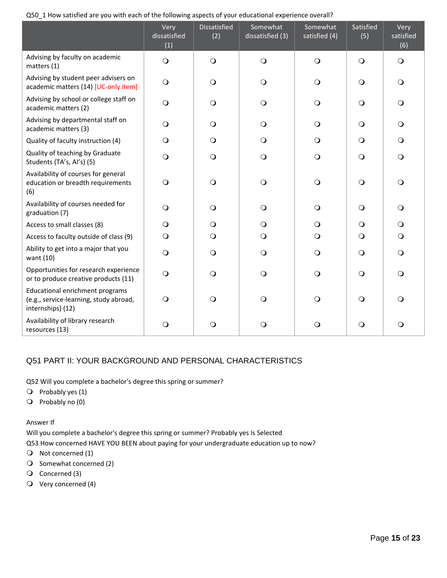| Q50_1 How satisfied are you with each of the following aspects of your educational experience overall? |  |
|--------------------------------------------------------------------------------------------------------|--|
|--------------------------------------------------------------------------------------------------------|--|

|                                                                                                | Very<br>dissatisfied<br>(1) | <b>Dissatisfied</b><br>(2) | Somewhat<br>dissatisfied (3) | Somewhat<br>satisfied (4) | Satisfied<br>(5) | Very<br>satisfied<br>(6) |
|------------------------------------------------------------------------------------------------|-----------------------------|----------------------------|------------------------------|---------------------------|------------------|--------------------------|
| Advising by faculty on academic<br>matters (1)                                                 | $\bigcirc$                  | $\bigcirc$                 | $\bigcirc$                   | $\bigcirc$                | $\circ$          | $\bigcirc$               |
| Advising by student peer advisers on<br>academic matters (14) [UC-only item]                   | $\bigcirc$                  | $\bigcirc$                 | $\bigcirc$                   | $\bigcirc$                | $\bigcirc$       | $\circ$                  |
| Advising by school or college staff on<br>academic matters (2)                                 | $\bigcirc$                  | $\bigcirc$                 | $\circ$                      | $\circ$                   | $\circ$          | $\circ$                  |
| Advising by departmental staff on<br>academic matters (3)                                      | $\circ$                     | $\bigcirc$                 | $\bigcirc$                   | $\bigcirc$                | $\bigcirc$       | $\circ$                  |
| Quality of faculty instruction (4)                                                             | $\circ$                     | $\circ$                    | $\circ$                      | $\circ$                   | $\circ$          | $\circ$                  |
| Quality of teaching by Graduate<br>Students (TA's, AI's) (5)                                   | $\bigcirc$                  | $\bigcirc$                 | $\bigcirc$                   | $\bigcirc$                | $\bigcirc$       | $\circ$                  |
| Availability of courses for general<br>education or breadth requirements<br>(6)                | $\bigcirc$                  | $\bigcirc$                 | $\bigcirc$                   | $\bigcirc$                | $\bigcirc$       | $\Omega$                 |
| Availability of courses needed for<br>graduation (7)                                           | $\circ$                     | $\circ$                    | $\bigcirc$                   | $\bigcirc$                | $\circ$          | $\circ$                  |
| Access to small classes (8)                                                                    | $\circ$                     | $\circ$                    | $\circ$                      | $\circ$                   | $\circ$          | $\circ$                  |
| Access to faculty outside of class (9)                                                         | $\circ$                     | $\circ$                    | $\circ$                      | $\circ$                   | $\circ$          | $\circ$                  |
| Ability to get into a major that you<br>want (10)                                              | $\bigcirc$                  | $\circ$                    | $\Omega$                     | $\Omega$                  | $\circ$          | $\circ$                  |
| Opportunities for research experience<br>or to produce creative products (11)                  | $\circ$                     | $\Omega$                   | $\Omega$                     | $\Omega$                  | $\Omega$         | $\Omega$                 |
| Educational enrichment programs<br>(e.g., service-learning, study abroad,<br>internships) (12) | $\circ$                     | $\Omega$                   | $\Omega$                     | $\Omega$                  | $\Omega$         | $\Omega$                 |
| Availability of library research<br>resources (13)                                             | $\circ$                     | O                          | O                            | O                         | $\circ$          | O                        |

# Q51 PART II: YOUR BACKGROUND AND PERSONAL CHARACTERISTICS

Q52 Will you complete a bachelor's degree this spring or summer?

- $\bigcirc$  Probably yes (1)
- $\bigcirc$  Probably no (0)

Answer If

Will you complete a bachelor's degree this spring or summer? Probably yes Is Selected

Q53 How concerned HAVE YOU BEEN about paying for your undergraduate education up to now?

- O Not concerned (1)
- $\bigcirc$  Somewhat concerned (2)
- Q Concerned (3)
- Very concerned (4)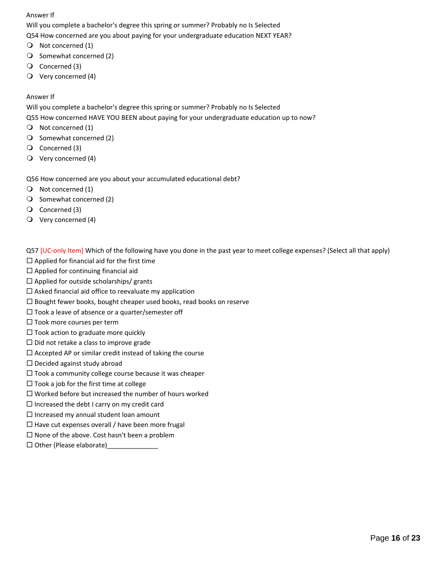Will you complete a bachelor's degree this spring or summer? Probably no Is Selected Q54 How concerned are you about paying for your undergraduate education NEXT YEAR?

- Not concerned (1)
- $\bigcirc$  Somewhat concerned (2)
- Concerned (3)
- Very concerned (4)

## Answer If

Will you complete a bachelor's degree this spring or summer? Probably no Is Selected

Q55 How concerned HAVE YOU BEEN about paying for your undergraduate education up to now?

- $\bigcirc$  Not concerned (1)
- $\bigcirc$  Somewhat concerned (2)
- Concerned (3)
- $\bigcirc$  Very concerned (4)

Q56 How concerned are you about your accumulated educational debt?

- O Not concerned (1)
- $\bigcirc$  Somewhat concerned (2)
- Concerned (3)
- $\bigcirc$  Very concerned (4)

Q57 [UC-only Item] Which of the following have you done in the past year to meet college expenses? (Select all that apply)

- $\square$  Applied for financial aid for the first time
- $\Box$  Applied for continuing financial aid
- $\square$  Applied for outside scholarships/ grants
- $\square$  Asked financial aid office to reevaluate my application
- $\Box$  Bought fewer books, bought cheaper used books, read books on reserve
- $\square$  Took a leave of absence or a quarter/semester off
- $\Box$  Took more courses per term
- $\square$  Took action to graduate more quickly
- $\Box$  Did not retake a class to improve grade
- $\Box$  Accepted AP or similar credit instead of taking the course
- $\Box$  Decided against study abroad
- $\Box$  Took a community college course because it was cheaper
- $\Box$  Took a job for the first time at college
- $\square$  Worked before but increased the number of hours worked
- $\square$  Increased the debt I carry on my credit card
- $\Box$  Increased my annual student loan amount
- $\Box$  Have cut expenses overall / have been more frugal
- $\square$  None of the above. Cost hasn't been a problem
- $\Box$  Other (Please elaborate)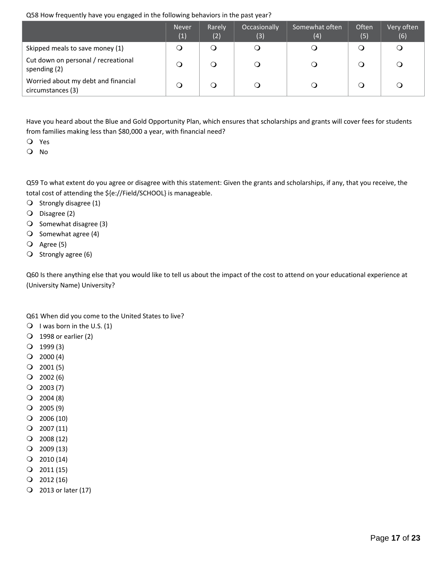## Q58 How frequently have you engaged in the following behaviors in the past year?

|                                                          | <b>Never</b><br>(1) | Rarely<br>(2) | Occasionally<br>(3) | Somewhat often<br>(4) | Often<br>(5) | Very often<br>(6) |
|----------------------------------------------------------|---------------------|---------------|---------------------|-----------------------|--------------|-------------------|
| Skipped meals to save money (1)                          | Ő                   | O             | ◯                   | Ő                     | O            |                   |
| Cut down on personal / recreational<br>spending (2)      | ၪ                   | O             |                     | $\circ$               | O            |                   |
| Worried about my debt and financial<br>circumstances (3) | ၪ                   |               |                     |                       |              |                   |

Have you heard about the Blue and Gold Opportunity Plan, which ensures that scholarships and grants will cover fees for students from families making less than \$80,000 a year, with financial need?

Yes

O No

Q59 To what extent do you agree or disagree with this statement: Given the grants and scholarships, if any, that you receive, the total cost of attending the \${e://Field/SCHOOL} is manageable.

- $\bigcirc$  Strongly disagree (1)
- Disagree (2)
- $\bigcirc$  Somewhat disagree (3)
- $\bigcirc$  Somewhat agree (4)
- Agree (5)
- $\bigcirc$  Strongly agree (6)

Q60 Is there anything else that you would like to tell us about the impact of the cost to attend on your educational experience at (University Name) University?

Q61 When did you come to the United States to live?

- $\bigcirc$  I was born in the U.S. (1)
- 1998 or earlier (2)
- $Q$  1999 (3)
- $Q$  2000 (4)
- $Q$  2001 (5)
- $Q$  2002 (6)
- $Q$  2003 (7)
- $Q$  2004 (8)
- $Q$  2005 (9)
- $Q$  2006 (10)
- $Q$  2007 (11)
- $Q$  2008 (12)
- $Q$  2009 (13)
- $Q$  2010 (14)
- $Q$  2011 (15)
- $Q$  2012 (16)
- 2013 or later (17)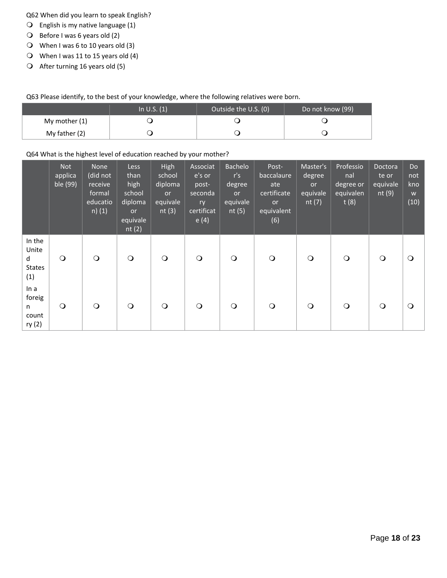Q62 When did you learn to speak English?

- $\bigcirc$  English is my native language (1)
- Before I was 6 years old (2)
- When I was 6 to 10 years old (3)
- When I was 11 to 15 years old (4)
- $\bigcirc$  After turning 16 years old (5)

Q63 Please identify, to the best of your knowledge, where the following relatives were born.

|               | In U.S. $(1)$ | Outside the U.S. (0) | Do not know (99) |
|---------------|---------------|----------------------|------------------|
| My mother (1) |               |                      |                  |
| My father (2) |               |                      |                  |

## Q64 What is the highest level of education reached by your mother?

|                                              | <b>Not</b><br>applica<br>ble (99) | <b>None</b><br>(did not<br>receive<br>formal<br>educatio<br>$n)$ (1) | <b>Less</b><br>than<br>high<br>school<br>diploma<br><b>or</b><br>equivale<br>nt(2) | High<br>school<br>diploma<br><b>or</b><br>equivale<br>nt $(3)$ | Associat<br>e's or<br>post-<br>seconda<br>ry<br>certificat<br>e(4) | <b>Bachelo</b><br>r's<br>degree<br><b>or</b><br>equivale<br>nt(5) | Post-<br>baccalaure<br>ate<br>certificate<br><b>or</b><br>equivalent<br>(6) | Master's<br>degree<br>or<br>equivale<br>nt $(7)$ | Professio<br>nal<br>degree or<br>equivalen<br>t(8) | Doctora<br>te or<br>equivale<br>nt $(9)$ | Do<br>not<br>kno<br>W<br>(10) |
|----------------------------------------------|-----------------------------------|----------------------------------------------------------------------|------------------------------------------------------------------------------------|----------------------------------------------------------------|--------------------------------------------------------------------|-------------------------------------------------------------------|-----------------------------------------------------------------------------|--------------------------------------------------|----------------------------------------------------|------------------------------------------|-------------------------------|
| In the<br>Unite<br>d<br><b>States</b><br>(1) | $\circ$                           | $\circ$                                                              | $\bigcirc$                                                                         | $\Omega$                                                       | $\circ$                                                            | $\Omega$                                                          | $\circ$                                                                     | $\Omega$                                         | $\circ$                                            | $\Omega$                                 | $\Omega$                      |
| In a<br>foreig<br>n.<br>count<br>ry (2)      | $\Omega$                          | $\circ$                                                              | $\circ$                                                                            | $\circ$                                                        | $\circ$                                                            | $\Omega$                                                          | $\circ$                                                                     | $\circ$                                          | $\circ$                                            | $\Omega$                                 | $\circ$                       |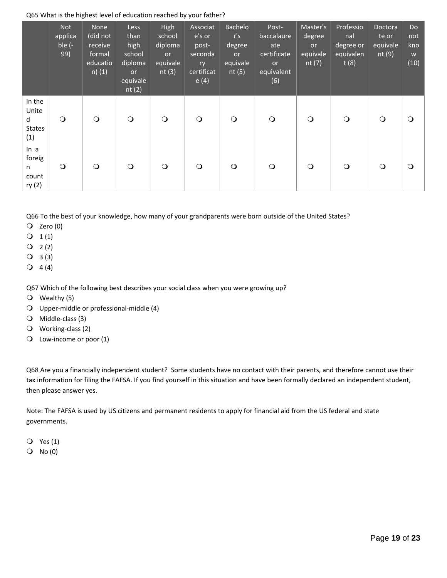### Q65 What is the highest level of education reached by your father?

|                                              | <b>Not</b><br>applica<br>ble $(-)$<br>99) | <b>None</b><br>(did not<br>receive<br>formal<br>educatio<br>$n)$ (1) | <b>Less</b><br>than<br>high<br>school<br>diploma<br><b>or</b><br>equivale<br>nt $(2)$ | High<br>school<br>diploma<br><b>or</b><br>equivale<br>nt $(3)$ | Associat<br>e's or<br>post-<br>seconda<br>ry<br>certificat<br>e(4) | Bachelo<br>r's<br>degree<br><b>or</b><br>equivale<br>nt $(5)$ | Post-<br>baccalaure<br>ate<br>certificate<br><b>or</b><br>equivalent<br>(6) | Master's<br>degree<br><b>or</b><br>equivale<br>nt $(7)$ | Professio<br>nal<br>degree or<br>equivalen<br>t(8) | Doctora<br>te or<br>equivale<br>nt $(9)$ | <b>Do</b><br>not<br>kno<br>W<br>(10) |
|----------------------------------------------|-------------------------------------------|----------------------------------------------------------------------|---------------------------------------------------------------------------------------|----------------------------------------------------------------|--------------------------------------------------------------------|---------------------------------------------------------------|-----------------------------------------------------------------------------|---------------------------------------------------------|----------------------------------------------------|------------------------------------------|--------------------------------------|
| In the<br>Unite<br>d<br><b>States</b><br>(1) | $\circ$                                   | $\bigcirc$                                                           | $\bigcirc$                                                                            | $\bigcirc$                                                     | $\bigcirc$                                                         | $\circ$                                                       | $\circ$                                                                     | $\bigcirc$                                              | $\bigcirc$                                         | $\bigcirc$                               | $\circ$                              |
| ln a<br>foreig<br>n.<br>count<br>ry (2)      | $\circ$                                   | $\bigcirc$                                                           | $\bigcirc$                                                                            | $\circ$                                                        | $\circ$                                                            | $\circ$                                                       | $\circ$                                                                     | $\circ$                                                 | $\bigcirc$                                         | $\circ$                                  | $\circ$                              |

Q66 To the best of your knowledge, how many of your grandparents were born outside of the United States?

 $Q$  Zero (0)

 $Q_1(1)$ 

 $Q_2(2)$ 

 $Q$  3(3)

 $Q 4 (4)$ 

Q67 Which of the following best describes your social class when you were growing up?

Wealthy (5)

Upper‐middle or professional‐middle (4)

Middle‐class (3)

Working‐class (2)

Q Low-income or poor (1)

Q68 Are you a financially independent student? Some students have no contact with their parents, and therefore cannot use their tax information for filing the FAFSA. If you find yourself in this situation and have been formally declared an independent student, then please answer yes.

Note: The FAFSA is used by US citizens and permanent residents to apply for financial aid from the US federal and state governments.

Yes (1)

 $O$  No  $(0)$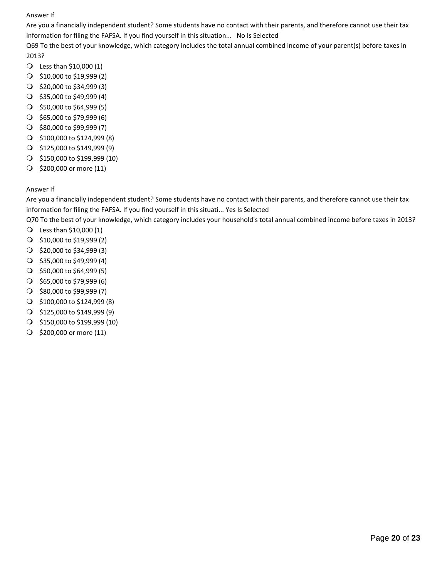Are you a financially independent student? Some students have no contact with their parents, and therefore cannot use their tax information for filing the FAFSA. If you find yourself in this situation... No Is Selected

Q69 To the best of your knowledge, which category includes the total annual combined income of your parent(s) before taxes in 2013?

- Less than \$10,000 (1)
- \$10,000 to \$19,999 (2)
- $\bigcirc$  \$20,000 to \$34,999 (3)
- $\bigcirc$  \$35,000 to \$49,999 (4)
- $\bigcirc$  \$50,000 to \$64,999 (5)
- $\bigcirc$  \$65,000 to \$79,999 (6)
- $\bigcirc$  \$80,000 to \$99,999 (7)
- \$100,000 to \$124,999 (8)
- $\bigcirc$  \$125,000 to \$149,999 (9)
- $\bigcirc$  \$150,000 to \$199,999 (10)
- $\bigcirc$  \$200,000 or more (11)

## Answer If

Are you a financially independent student? Some students have no contact with their parents, and therefore cannot use their tax information for filing the FAFSA. If you find yourself in this situati... Yes Is Selected

Q70 To the best of your knowledge, which category includes your household's total annual combined income before taxes in 2013?

- Less than \$10,000 (1)
- \$10,000 to \$19,999 (2)
- $\bigcirc$  \$20,000 to \$34,999 (3)
- $\bigcirc$  \$35,000 to \$49,999 (4)
- $\bigcirc$  \$50,000 to \$64,999 (5)
- $\bigcirc$  \$65,000 to \$79,999 (6)
- $\bigcirc$  \$80,000 to \$99,999 (7)
- \$100,000 to \$124,999 (8)
- $\bigcirc$  \$125,000 to \$149,999 (9)
- $\bigcirc$  \$150,000 to \$199,999 (10)
- $\bigcirc$  \$200,000 or more (11)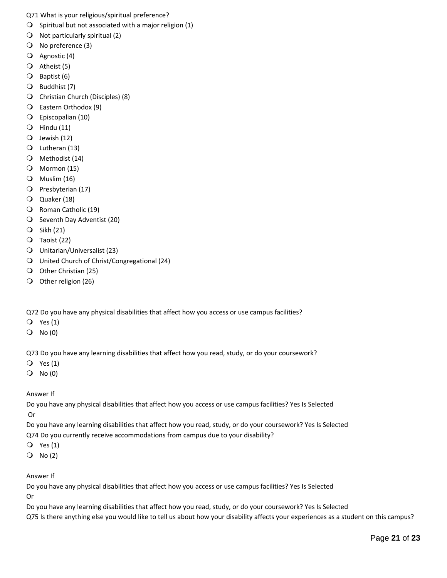Q71 What is your religious/spiritual preference?

- $\bigcirc$  Spiritual but not associated with a major religion (1)
- $\bigcirc$  Not particularly spiritual (2)
- No preference (3)
- Agnostic (4)
- $\overline{Q}$  Atheist (5)
- Baptist (6)
- Buddhist (7)
- Christian Church (Disciples) (8)
- Eastern Orthodox (9)
- Episcopalian (10)
- $\bigcirc$  Hindu (11)
- $Q$  Jewish (12)
- Lutheran (13)
- Methodist (14)
- Mormon (15)
- $\bigcirc$  Muslim (16)
- O Presbyterian (17)
- Quaker (18)
- Q Roman Catholic (19)
- O Seventh Day Adventist (20)
- Sikh (21)
- Taoist (22)
- Unitarian/Universalist (23)
- United Church of Christ/Congregational (24)
- O Other Christian (25)
- O Other religion (26)

Q72 Do you have any physical disabilities that affect how you access or use campus facilities?

- Yes (1)
- $O$  No  $(0)$

Q73 Do you have any learning disabilities that affect how you read, study, or do your coursework?

- $Q$  Yes (1)
- $O$  No  $(0)$

Answer If

Do you have any physical disabilities that affect how you access or use campus facilities? Yes Is Selected Or

Do you have any learning disabilities that affect how you read, study, or do your coursework? Yes Is Selected

Q74 Do you currently receive accommodations from campus due to your disability?

- Yes (1)
- $O$  No (2)

Answer If

Do you have any physical disabilities that affect how you access or use campus facilities? Yes Is Selected Or

Do you have any learning disabilities that affect how you read, study, or do your coursework? Yes Is Selected Q75 Is there anything else you would like to tell us about how your disability affects your experiences as a student on this campus?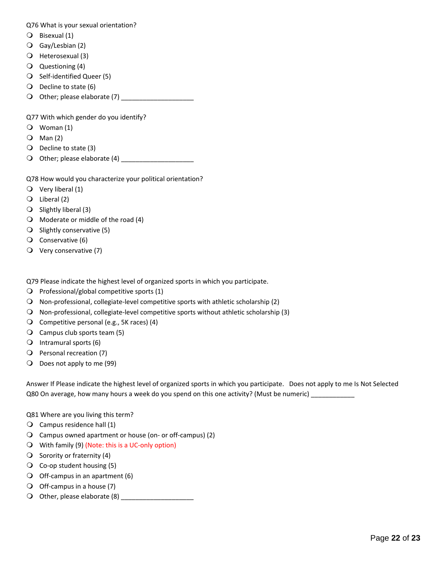Q76 What is your sexual orientation?

- Bisexual (1)
- Gay/Lesbian (2)
- Heterosexual (3)
- Questioning (4)
- O Self-identified Queer (5)
- $\bigcirc$  Decline to state (6)
- Other; please elaborate (7) \_\_\_\_\_\_\_\_\_\_\_\_\_\_\_\_\_\_\_\_

Q77 With which gender do you identify?

- Woman (1)
- $Q$  Man (2)
- $\bigcirc$  Decline to state (3)
- Other; please elaborate (4) \_\_\_\_\_\_\_\_\_\_\_\_\_\_\_\_\_\_\_\_

Q78 How would you characterize your political orientation?

- $\bigcirc$  Very liberal (1)
- Liberal (2)
- $\bigcirc$  Slightly liberal (3)
- $\bigcirc$  Moderate or middle of the road (4)
- $\bigcirc$  Slightly conservative (5)
- Conservative (6)
- $\overline{Q}$  Very conservative (7)

Q79 Please indicate the highest level of organized sports in which you participate.

- $\bigcirc$  Professional/global competitive sports (1)
- Non-professional, collegiate-level competitive sports with athletic scholarship (2)
- Non-professional, collegiate-level competitive sports without athletic scholarship (3)
- O Competitive personal (e.g., 5K races)  $(4)$
- Campus club sports team (5)
- $\bigcirc$  Intramural sports (6)
- Personal recreation (7)
- O Does not apply to me (99)

Answer If Please indicate the highest level of organized sports in which you participate. Does not apply to me Is Not Selected Q80 On average, how many hours a week do you spend on this one activity? (Must be numeric)

- Q81 Where are you living this term?
- $\bigcirc$  Campus residence hall (1)
- Campus owned apartment or house (on‐ or off‐campus) (2)
- With family (9) (Note: this is a UC-only option)
- $\bigcirc$  Sorority or fraternity (4)
- $\overline{Q}$  Co-op student housing (5)
- $\bigcirc$  Off-campus in an apartment (6)
- $\bigcirc$  Off-campus in a house (7)
- Other, please elaborate (8) \_\_\_\_\_\_\_\_\_\_\_\_\_\_\_\_\_\_\_\_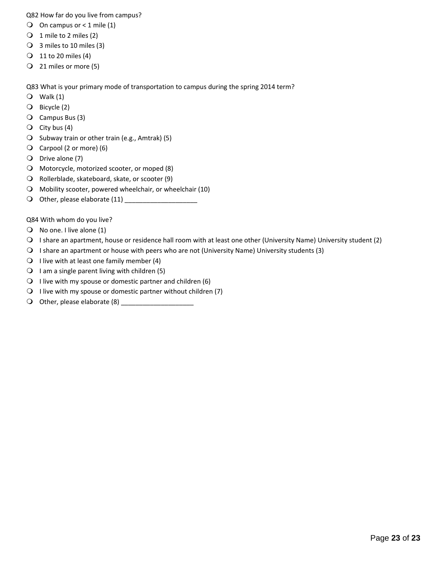Q82 How far do you live from campus?

- $\bigcirc$  On campus or < 1 mile (1)
- $\bigcirc$  1 mile to 2 miles (2)
- $\bigcirc$  3 miles to 10 miles (3)
- 11 to 20 miles (4)
- 21 miles or more (5)

Q83 What is your primary mode of transportation to campus during the spring 2014 term?

- $Q$  Walk (1)
- Bicycle (2)
- Campus Bus (3)
- $\bigcirc$  City bus (4)
- $\bigcirc$  Subway train or other train (e.g., Amtrak) (5)
- Carpool (2 or more) (6)
- Drive alone (7)
- Motorcycle, motorized scooter, or moped (8)
- Rollerblade, skateboard, skate, or scooter (9)
- Mobility scooter, powered wheelchair, or wheelchair (10)
- Other, please elaborate (11) \_\_\_\_\_\_\_\_\_\_\_\_\_\_\_\_\_\_\_\_

Q84 With whom do you live?

- $\bigcirc$  No one. I live alone (1)
- I share an apartment, house or residence hall room with at least one other (University Name) University student (2)
- I share an apartment or house with peers who are not (University Name) University students (3)
- $\bigcirc$  I live with at least one family member (4)
- $\bigcirc$  I am a single parent living with children (5)
- $\bigcirc$  I live with my spouse or domestic partner and children (6)
- $\bigcirc$  I live with my spouse or domestic partner without children (7)
- O Other, please elaborate  $(8)$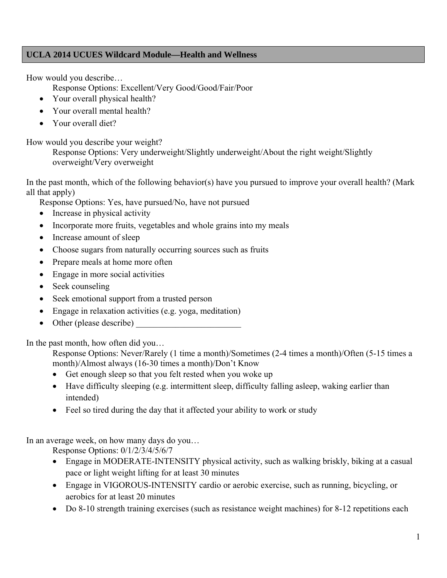# **UCLA 2014 UCUES Wildcard Module—Health and Wellness**

How would you describe…

Response Options: Excellent/Very Good/Good/Fair/Poor

- Your overall physical health?
- Your overall mental health?
- Your overall diet?

How would you describe your weight?

Response Options: Very underweight/Slightly underweight/About the right weight/Slightly overweight/Very overweight

In the past month, which of the following behavior(s) have you pursued to improve your overall health? (Mark all that apply)

Response Options: Yes, have pursued/No, have not pursued

- Increase in physical activity
- Incorporate more fruits, vegetables and whole grains into my meals
- Increase amount of sleep
- Choose sugars from naturally occurring sources such as fruits
- Prepare meals at home more often
- Engage in more social activities
- Seek counseling
- Seek emotional support from a trusted person
- Engage in relaxation activities (e.g. yoga, meditation)
- Other (please describe)

In the past month, how often did you…

Response Options: Never/Rarely (1 time a month)/Sometimes (2-4 times a month)/Often (5-15 times a month)/Almost always (16-30 times a month)/Don't Know

- Get enough sleep so that you felt rested when you woke up
- Have difficulty sleeping (e.g. intermittent sleep, difficulty falling asleep, waking earlier than intended)
- Feel so tired during the day that it affected your ability to work or study

In an average week, on how many days do you…

Response Options: 0/1/2/3/4/5/6/7

- Engage in MODERATE-INTENSITY physical activity, such as walking briskly, biking at a casual pace or light weight lifting for at least 30 minutes
- Engage in VIGOROUS-INTENSITY cardio or aerobic exercise, such as running, bicycling, or aerobics for at least 20 minutes
- Do 8-10 strength training exercises (such as resistance weight machines) for 8-12 repetitions each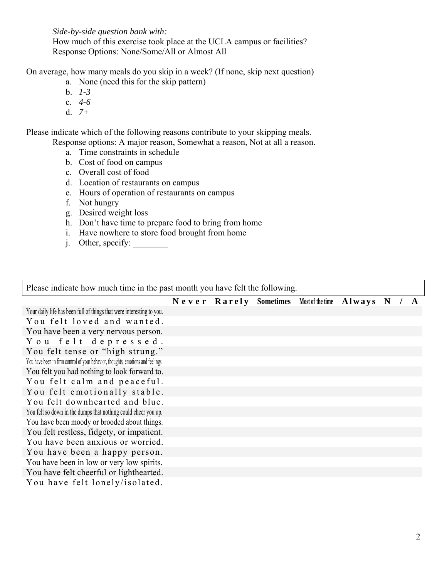*Side-by-side question bank with:* 

 How much of this exercise took place at the UCLA campus or facilities? Response Options: None/Some/All or Almost All

On average, how many meals do you skip in a week? (If none, skip next question)

- a. None (need this for the skip pattern)
- b. *1-3*
- c. *4-6*
- d. *7+*

Please indicate which of the following reasons contribute to your skipping meals.

- Response options: A major reason, Somewhat a reason, Not at all a reason.
	- a. Time constraints in schedule
	- b. Cost of food on campus
	- c. Overall cost of food
	- d. Location of restaurants on campus
	- e. Hours of operation of restaurants on campus
	- f. Not hungry
	- g. Desired weight loss
	- h. Don't have time to prepare food to bring from home
	- i. Have nowhere to store food brought from home
	- j. Other, specify: \_\_\_\_\_\_\_\_

Please indicate how much time in the past month you have felt the following.

# **Never Rarely Sometimes Most of the time Always N/A**

Your daily life has been full of things that were interesting to you. You felt loved and wanted. You have been a very nervous person. You felt depressed. You felt tense or "high strung." You have been in firm control of your behavior, thoughts, emotions and feelings. You felt you had nothing to look forward to. You felt calm and peaceful. You felt emotionally stable. You felt downhearted and blue. You felt so down in the dumps that nothing could cheer you up. You have been moody or brooded about things. You felt restless, fidgety, or impatient. You have been anxious or worried. You have been a happy person. You have been in low or very low spirits. You have felt cheerful or lighthearted. You have felt lonely/isolated.